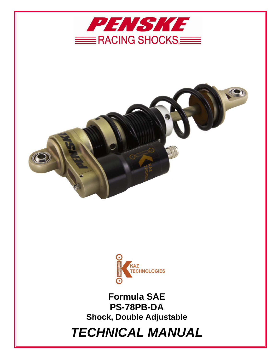





**Formula SAE PS-78PB-DA Shock, Double Adjustable** 

*TECHNICAL MANUAL*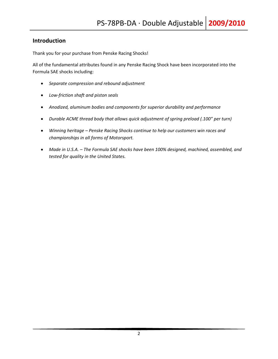## **Introduction**

Thank you for your purchase from Penske Racing Shocks!

All of the fundamental attributes found in any Penske Racing Shock have been incorporated into the Formula SAE shocks including:

- *Separate compression and rebound adjustment*
- *Low‐friction shaft and piston seals*
- *Anodized, aluminum bodies and components for superior durability and performance*
- *Durable ACME thread body that allows quick adjustment of spring preload (.100" per turn)*
- *Winning heritage – Penske Racing Shocks continue to help our customers win races and championships in all forms of Motorsport.*
- *Made in U.S.A. – The Formula SAE shocks have been 100% designed, machined, assembled, and tested for quality in the United States.*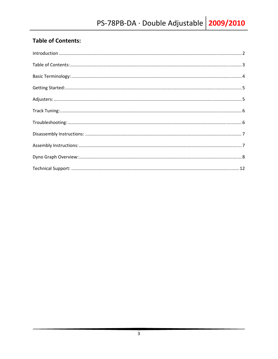# **Table of Contents:**

| $\label{lem:1} \mbox{Introduction} \,\, \ldots \,\, \ldots \,\, \ldots \,\, \ldots \,\, \ldots \,\, \ldots \,\, \ldots \,\, \ldots \,\, \ldots \,\, \ldots \,\, \ldots \,\, \ldots \,\, \ldots \,\, \ldots \,\, \ldots \,\, \ldots \,\, \ldots \,\, \ldots \,\, \ldots \,\, \ldots \,\, \ldots \,\, \ldots \,\, \ldots \,\, \ldots \,\, \ldots \,\, \ldots \,\, \ldots \,\, \ldots \,\, \ldots \,\, \ldots \,\, \ldots \,\, \ldots \,\, \ldots \,\, \ldots \,\,$ |  |
|------------------------------------------------------------------------------------------------------------------------------------------------------------------------------------------------------------------------------------------------------------------------------------------------------------------------------------------------------------------------------------------------------------------------------------------------------------------|--|
|                                                                                                                                                                                                                                                                                                                                                                                                                                                                  |  |
|                                                                                                                                                                                                                                                                                                                                                                                                                                                                  |  |
|                                                                                                                                                                                                                                                                                                                                                                                                                                                                  |  |
|                                                                                                                                                                                                                                                                                                                                                                                                                                                                  |  |
|                                                                                                                                                                                                                                                                                                                                                                                                                                                                  |  |
|                                                                                                                                                                                                                                                                                                                                                                                                                                                                  |  |
|                                                                                                                                                                                                                                                                                                                                                                                                                                                                  |  |
|                                                                                                                                                                                                                                                                                                                                                                                                                                                                  |  |
|                                                                                                                                                                                                                                                                                                                                                                                                                                                                  |  |
|                                                                                                                                                                                                                                                                                                                                                                                                                                                                  |  |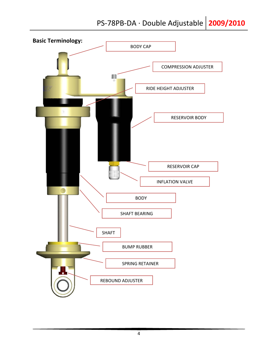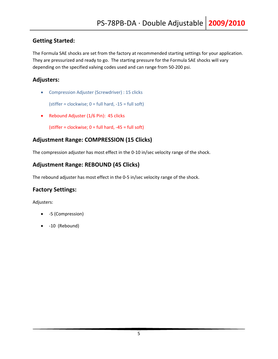# **Getting Started:**

The Formula SAE shocks are set from the factory at recommended starting settings for your application. They are pressurized and ready to go. The starting pressure for the Formula SAE shocks will vary depending on the specified valving codes used and can range from 50‐200 psi.

# **Adjusters:**

Compression Adjuster (Screwdriver) : 15 clicks

(stiffer = clockwise;  $0 =$  full hard,  $-15 =$  full soft)

• Rebound Adjuster (1/6 Pin): 45 clicks

(stiffer = clockwise;  $0 =$  full hard,  $-45 =$  full soft)

# **Adjustment Range: COMPRESSION (15 Clicks)**

The compression adjuster has most effect in the 0‐10 in/sec velocity range of the shock.

# **Adjustment Range: REBOUND (45 Clicks)**

The rebound adjuster has most effect in the 0‐5 in/sec velocity range of the shock.

# **Factory Settings:**

Adjusters:

- ‐5 (Compression)
- ‐10 (Rebound)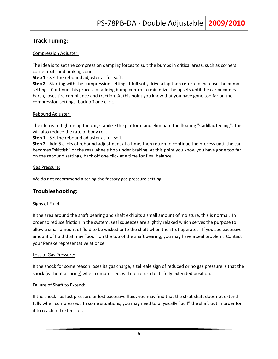# **Track Tuning:**

### Compression Adjuster:

The idea is to set the compression damping forces to suit the bumps in critical areas, such as corners, corner exits and braking zones.

**Step 1** - Set the rebound adjuster at full soft.

**Step 2 ‐** Starting with the compression setting at full soft, drive a lap then return to increase the bump settings. Continue this process of adding bump control to minimize the upsets until the car becomes harsh, loses tire compliance and traction. At this point you know that you have gone too far on the compression settings; back off one click.

### Rebound Adjuster:

The idea is to tighten up the car, stabilize the platform and eliminate the floating "Cadillac feeling". This will also reduce the rate of body roll.

**Step 1** - Set the rebound adjuster at full soft.

**Step 2 ‐** Add 5 clicks of rebound adjustment at a time, then return to continue the process until the car becomes "skittish" or the rear wheels hop under braking. At this point you know you have gone too far on the rebound settings, back off one click at a time for final balance.

#### Gas Pressure:

We do not recommend altering the factory gas pressure setting.

# **Troubleshooting:**

### Signs of Fluid:

If the area around the shaft bearing and shaft exhibits a small amount of moisture, this is normal. In order to reduce friction in the system, seal squeezes are slightly relaxed which serves the purpose to allow a small amount of fluid to be wicked onto the shaft when the strut operates. If you see excessive amount of fluid that may "pool" on the top of the shaft bearing, you may have a seal problem. Contact your Penske representative at once.

#### Loss of Gas Pressure:

If the shock for some reason loses its gas charge, a tell‐tale sign of reduced or no gas pressure is that the shock (without a spring) when compressed, will not return to its fully extended position.

### Failure of Shaft to Extend:

If the shock has lost pressure or lost excessive fluid, you may find that the strut shaft does not extend fully when compressed. In some situations, you may need to physically "pull" the shaft out in order for it to reach full extension.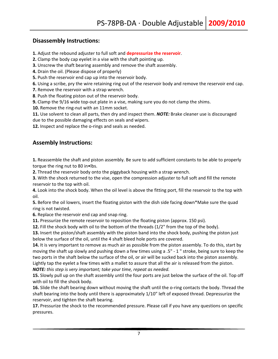# **Disassembly Instructions:**

- **1.** Adjust the rebound adjuster to full soft and **depressurize the reservoir**.
- **2.** Clamp the body cap eyelet in a vise with the shaft pointing up.
- **3.** Unscrew the shaft bearing assembly and remove the shaft assembly.
- **4.** Drain the oil. (Please dispose of properly)
- **5.** Push the reservoir end cap up into the reservoir body.
- **6.** Using a scribe, pry the wire retaining ring out of the reservoir body and remove the reservoir end cap.
- **7.** Remove the reservoir with a strap wrench.
- **8**. Push the floating piston out of the reservoir body.
- **9.** Clamp the 9/16 wide top-out plate in a vise, making sure you do not clamp the shims.
- 10. Remove the ring-nut with an 11mm socket.

**11.** Use solvent to clean all parts, then dry and inspect them. *NOTE:* Brake cleaner use is discouraged due to the possible damaging effects on seals and wipers.

12. Inspect and replace the o-rings and seals as needed.

# **Assembly Instructions:**

**1.** Reassemble the shaft and piston assembly. Be sure to add sufficient constants to be able to properly torque the ring nut to 80 in•lbs.

**2.** Thread the reservoir body onto the piggyback housing with a strap wrench.

**3.** With the shock returned to the vise, open the compression adjuster to full soft and fill the remote reservoir to the top with oil.

**4.** Look into the shock body. When the oil level is above the fitting port, fill the reservoir to the top with oil.

**5.** Before the oil lowers, insert the floating piston with the dish side facing down\*Make sure the quad ring is not twisted.

**6.** Replace the reservoir end cap and snap ring.

**11.** Pressurize the remote reservoir to reposition the floating piston (approx. 150 psi).

**12.** Fill the shock body with oil to the bottom of the threads (1/2" from the top of the body).

**13.** Insert the piston/shaft assembly with the piston band into the shock body, pushing the piston just below the surface of the oil, until the 4 shaft bleed hole ports are covered.

**14.** It is very important to remove as much air as possible from the piston assembly. To do this, start by moving the shaft up slowly and pushing down a few times using a .5" ‐ 1 " stroke, being sure to keep the two ports in the shaft below the surface of the oil, or air will be sucked back into the piston assembly. Lightly tap the eyelet a few times with a mallet to assure that all the air is released from the piston.

*NOTE: this step is very important; take your time, repeat as needed.*

**15.** Slowly pull up on the shaft assembly until the four ports are just below the surface of the oil. Top off with oil to fill the shock body.

**16.** Slide the shaft bearing down without moving the shaft until the o-ring contacts the body. Thread the shaft bearing into the body until there is approximately 1/10" left of exposed thread. Depressurize the reservoir, and tighten the shaft bearing.

**17.** Pressurize the shock to the recommended pressure. Please call if you have any questions on specific pressures.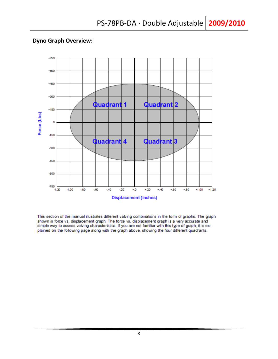# **Dyno Graph Overview:**



This section of the manual illustrates different valving combinations in the form of graphs. The graph shown is force vs. displacement graph. The force vs. displacement graph is a very accurate and simple way to assess valving characteristics. If you are not familiar with this type of graph, it is explained on the following page along with the graph above, showing the four different quadrants.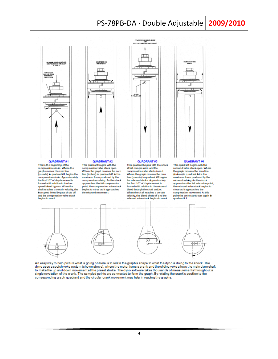# PS-78PB-DA · Double Adjustable 2009/2010

COMPRESSORSHIRE CLOSE

馬頭



This is the beginning of the<br>compression stroke. Where the graph crosses the zero line (pounds) in quadrant #1 begins the compression stroke. Approximately the first 1/2" of displacement is formed with relation to the low speed blood bypass. When the<br>shaft reaches a certain velocity, the bw speed bleed bypass shuts off and the compression valve stack begins to react.

#### QUADRANT#2 This quadrant begins with the compression valve stack open. Where the graph crosses the zero line (inches) in quadrant #2 is the maximum force produced by the compression valving. As the shook<br>approaches the full compression point, the compression valve stack<br>begins to close as it approaches the rebound movement.





This quadrant begins with the shock at full compression and the compression valve stack dosed. Where the graph crosses the zero line (pounds) in quadrant #3 begins the rebound stroke. Approximately the first 1/2" of displacement is formed with relation to the rebound bleed through the shaft and jet. When the shaft reaches a certain velocity, the bleed shuts off and the rebound valve stack begins to read.



#### **QUADRANT #4**

This quadrant begins with the rebound valve stack open. Where the graph crosses the zero line (inches) in quadrant #4 is the maximum force produced by the rebound valving. As the shock<br>approaches the full extension point, the rebound valve stack begins to close as it approaches the compression movement. At this<br>point the cycle starts over again in  $\alpha$ uadrant#1



An easy way to help picture what is going on here is to relate the graph's shape to what the dynois doing to the shock. The dyno uses a scotch yoke system (shown above), where the motor turns a crank and the sliding yoke allows the main dyno shaft to make the up and down movement at the preset stroke. The dyno software takes thousands of measurements throughout a single revolution of the crank. The sampled points are connected to form the graph. By relating the crank's position to the corresponding graph quadrant and the circular crank movement may help in reading the graphs.

9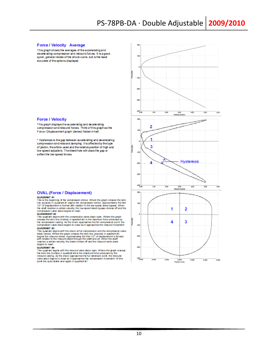#### **Force / Velocity Average**

This graph shows the averages of the accelerating and decelerating compression and rebound forces. It is a good quick, general review of the shock curve, but is the least accurate of the options displayed.



This graph displays the accelerating and decelerating compression and rebound forces. Think of this graph as the Force / Displacement graph (below) folded in half.

\* Hysteresis is the gap between accelerating and decelerating compression and rebound damping. It is affected by the type of piston, the shims used and the relative position of high and low speed adjusters. The bleed hole will close the gap or soften the low speed forces.



#### **OVAL (Force / Displacement)**

QUADRANT #1<br>This is the beginning of the compression stroke. Where the graph crosses the zero line (pounds) in quadrart #1 begins the compression stroke. Approximately the first 1/2" of displacement is formed with relation to the low speed bleed bypass. When the shat reaches a certain velocity, the low speed bleed

#### QUANDRANT #2

QUANDRANT TREE compression valve stack open. Where the graph<br>crosses the zero line (inches) in quadrant #2 is the maximum force produced by<br>the compression valving. As the shock approaches the till compression point, the<br>c QUADRANT #3

QUADRANT #3<br>This quadrant begins with the shock at full compression and the compression values<br>tack closed. Where the graph crosses the zero line (pounds) in quadrant #3<br>begins the rebound stroke. Approximately the first 1 ion valve begins to react

#### QUADRANT #4

This quadrant begins with the rebound valve stack open. Where the graph crosses the zero line (inches) in quadrant #4 is the maximum force produced by the rebound valving. As the shock approaches the full estension point, the rebound valving. As the shock approaches the compression movement. At this p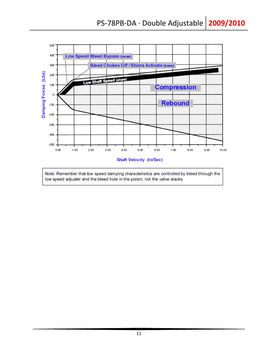

11